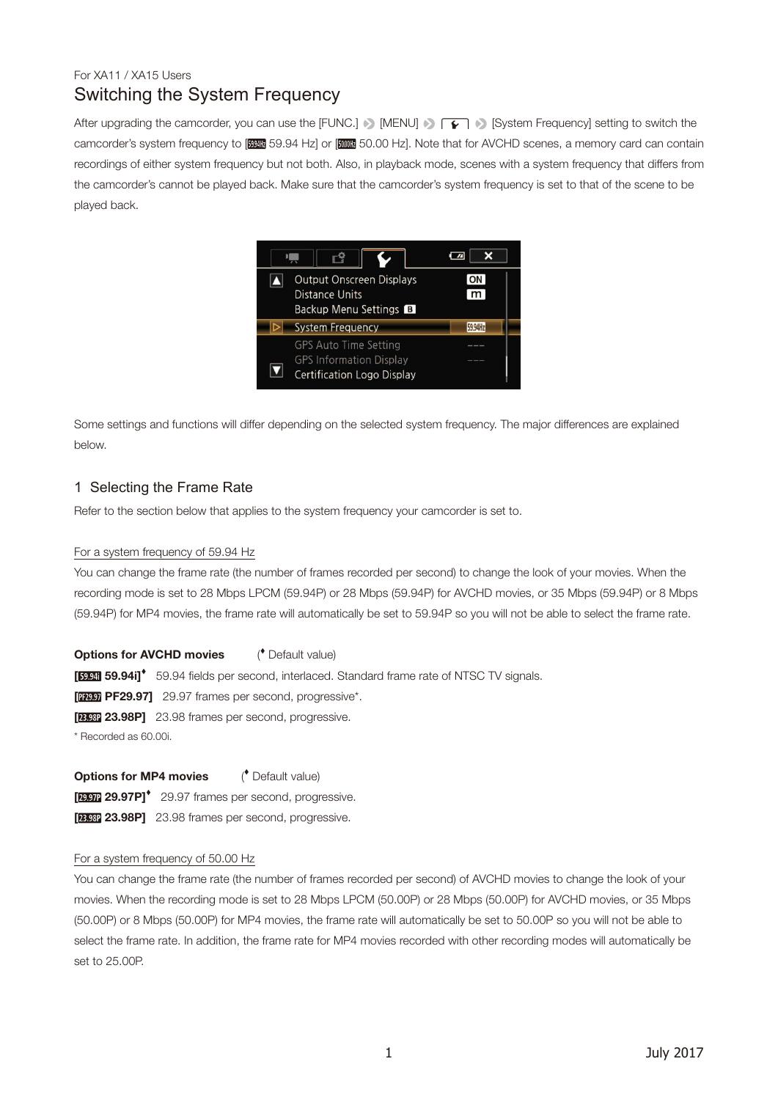# Switching the System Frequency For XA11 / XA15 Users

After upgrading the camcorder, you can use the [FUNC.] [MENU]  $\cap \cap$  [System Frequency] setting to switch the camcorder's system frequency to [ 2010 ] 59.94 Hz] or [ 2010 B Hz]. Note that for AVCHD scenes, a memory card can contain recordings of either system frequency but not both. Also, in playback mode, scenes with a system frequency that differs from the camcorder's cannot be played back. Make sure that the camcorder's system frequency is set to that of the scene to be played back.

| <b>Output Onscreen Displays</b><br><b>Distance Units</b><br>Backup Menu Settings B                  |  |
|-----------------------------------------------------------------------------------------------------|--|
| <b>System Frequency</b>                                                                             |  |
| <b>GPS Auto Time Setting</b><br><b>GPS Information Display</b><br><b>Certification Logo Display</b> |  |

Some settings and functions will differ depending on the selected system frequency. The major differences are explained below.

## 1 Selecting the Frame Rate

Refer to the section below that applies to the system frequency your camcorder is set to.

### For a system frequency of 59.94 Hz

You can change the frame rate (the number of frames recorded per second) to change the look of your movies. When the recording mode is set to 28 Mbps LPCM (59.94P) or 28 Mbps (59.94P) for AVCHD movies, or 35 Mbps (59.94P) or 8 Mbps (59.94P) for MP4 movies, the frame rate will automatically be set to 59.94P so you will not be able to select the frame rate.

**Options for AVCHD movies**  Default value) [**[ [ 59.94i]<sup>\*</sup>** 59.94 fields per second, interlaced. Standard frame rate of NTSC TV signals. **[ PF29.97]** 29.97 frames per second, progressive\*. **[ 23.98P]** 23.98 frames per second, progressive. \* Recorded as 60.00i.

**Options for MP4 movies**  Default value) **[297] 29.97P] 29.97 frames per second, progressive. [ 23.98P]** 23.98 frames per second, progressive.

#### For a system frequency of 50.00 Hz

You can change the frame rate (the number of frames recorded per second) of AVCHD movies to change the look of your movies. When the recording mode is set to 28 Mbps LPCM (50.00P) or 28 Mbps (50.00P) for AVCHD movies, or 35 Mbps (50.00P) or 8 Mbps (50.00P) for MP4 movies, the frame rate will automatically be set to 50.00P so you will not be able to select the frame rate. In addition, the frame rate for MP4 movies recorded with other recording modes will automatically be set to 25.00P.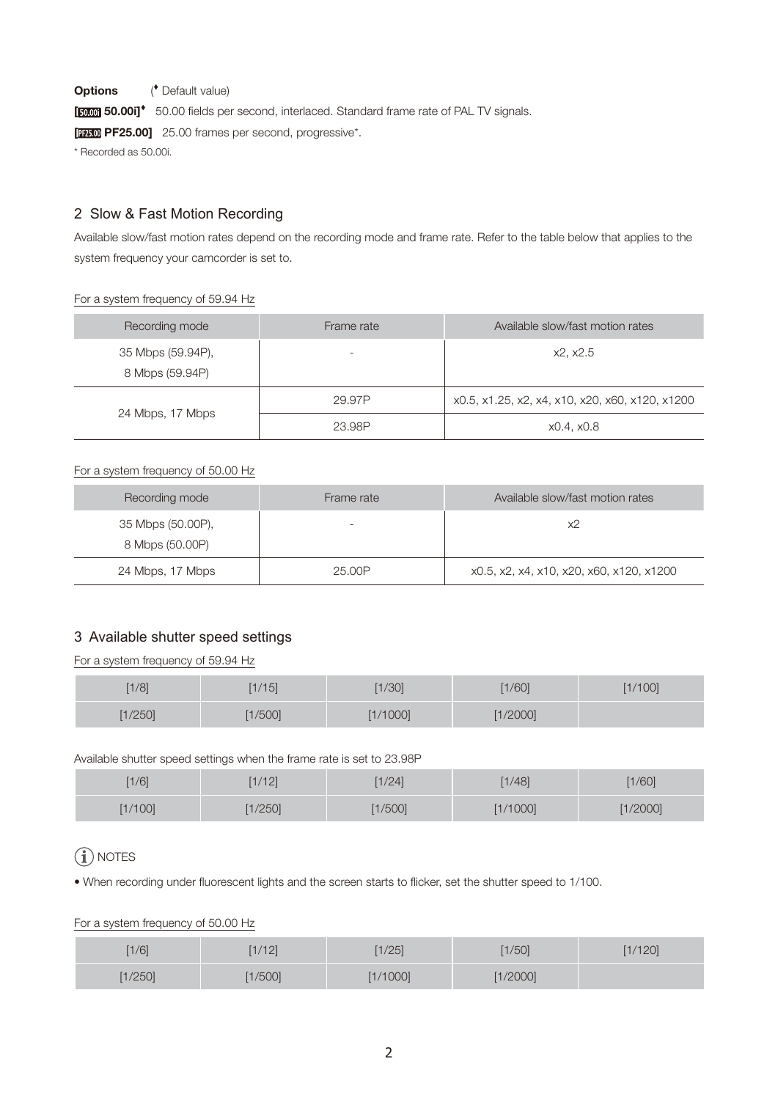**Options** ( Default value) [**5000] 50.00i]<sup>\*</sup>** 50.00 fields per second, interlaced. Standard frame rate of PAL TV signals. **[ PEZ5.00]** 25.00 frames per second, progressive\*. \* Recorded as 50.00i.

# 2 Slow & Fast Motion Recording

Available slow/fast motion rates depend on the recording mode and frame rate. Refer to the table below that applies to the system frequency your camcorder is set to.

#### For a system frequency of 59.94 Hz

| Recording mode                       | Frame rate | Available slow/fast motion rates                |
|--------------------------------------|------------|-------------------------------------------------|
| 35 Mbps (59.94P),<br>8 Mbps (59.94P) |            | x2. x2.5                                        |
|                                      | 29.97P     | x0.5, x1.25, x2, x4, x10, x20, x60, x120, x1200 |
| 24 Mbps, 17 Mbps                     | 23.98P     | x0.4, x0.8                                      |

## For a system frequency of 50.00 Hz

| Recording mode                       | Frame rate | Available slow/fast motion rates         |
|--------------------------------------|------------|------------------------------------------|
| 35 Mbps (50.00P),<br>8 Mbps (50.00P) |            | х2                                       |
| 24 Mbps, 17 Mbps                     | 25.00P     | x0.5, x2, x4, x10, x20, x60, x120, x1200 |

# 3 Available shutter speed settings

For a system frequency of 59.94 Hz

| [1/8] | 1/15  | [1/30] | 1/60     | 1/100 |
|-------|-------|--------|----------|-------|
| 1/250 | 1/500 | 1/1000 | [1/2000] |       |

Available shutter speed settings when the frame rate is set to 23.98P

| 1/6     | [1/12] | [1/24] | [1/48]   | [1/60]   |
|---------|--------|--------|----------|----------|
| [1/100] | 1/250  | 1/500  | [1/1000] | [1/2000] |

# $\mathbf{\widehat{i}}$  NOTES

• When recording under fluorescent lights and the screen starts to flicker, set the shutter speed to 1/100.

## For a system frequency of 50.00 Hz

| [1/6] | [1/12] | 1/25     | 1/50     | 1/120 |
|-------|--------|----------|----------|-------|
| 1/250 | 1/500  | [1/1000] | [1/2000] |       |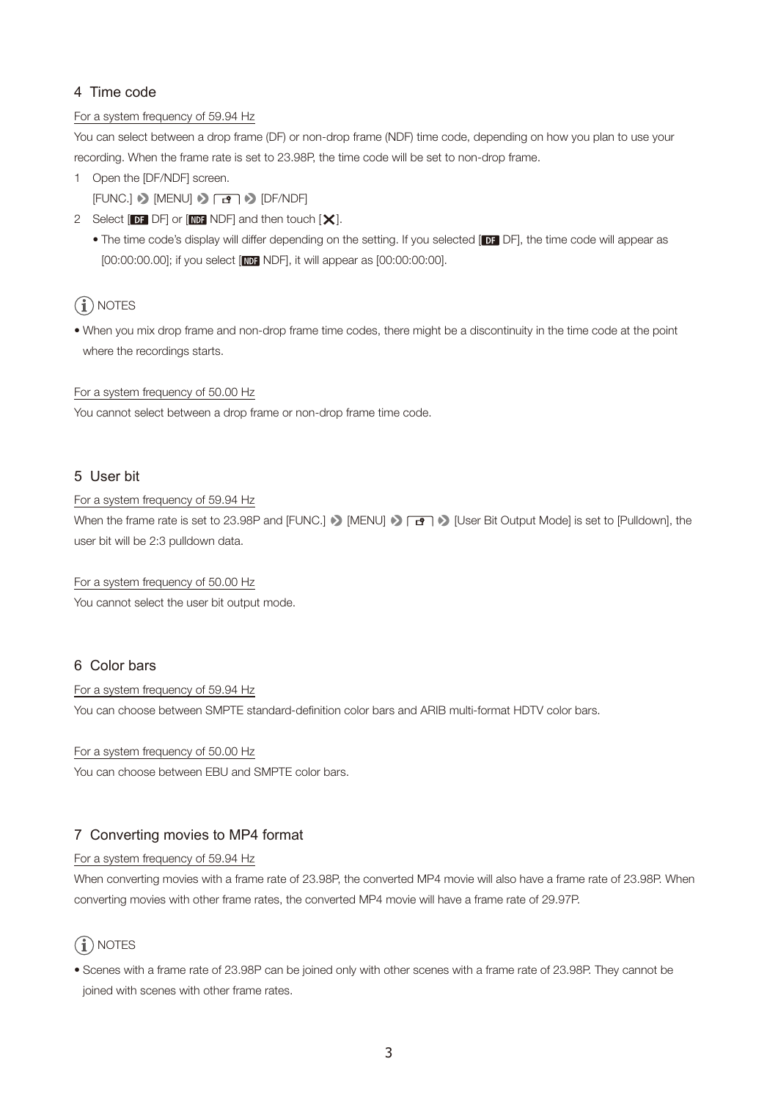# 4 Time code

## For a system frequency of 59.94 Hz

You can select between a drop frame (DF) or non-drop frame (NDF) time code, depending on how you plan to use your recording. When the frame rate is set to 23.98P, the time code will be set to non-drop frame.

1 Open the [DF/NDF] screen.

 $[FUNCTION.]$   $\triangleright$   $[MENT]$   $\triangleright$   $\overline{B}$   $\triangleright$   $[DF/NDF]$ 

- 2 Select  $[DF]$  DF or  $[NDF]$  and then touch  $[X]$ .
	- The time code's display will differ depending on the setting. If you selected [DF], DF], the time code will appear as [00:00:00.00]; if you select [NDF NDF], it will appear as [00:00:00:00].

# $(i)$  notes

• When you mix drop frame and non-drop frame time codes, there might be a discontinuity in the time code at the point where the recordings starts.

For a system frequency of 50.00 Hz

You cannot select between a drop frame or non-drop frame time code.

# 5 User bit

## For a system frequency of 59.94 Hz

When the frame rate is set to 23.98P and [FUNC.]  $\triangleright$  [MENU]  $\triangleright$   $\boxed{B}$   $\triangleright$  [User Bit Output Mode] is set to [Pulldown], the user bit will be 2:3 pulldown data.

For a system frequency of 50.00 Hz

You cannot select the user bit output mode.

# 6 Color bars

#### For a system frequency of 59.94 Hz

You can choose between SMPTE standard-definition color bars and ARIB multi-format HDTV color bars.

For a system frequency of 50.00 Hz

You can choose between EBU and SMPTE color bars.

# 7 Converting movies to MP4 format

## For a system frequency of 59.94 Hz

When converting movies with a frame rate of 23.98P, the converted MP4 movie will also have a frame rate of 23.98P. When converting movies with other frame rates, the converted MP4 movie will have a frame rate of 29.97P.

# $(i)$  NOTES

• Scenes with a frame rate of 23.98P can be joined only with other scenes with a frame rate of 23.98P. They cannot be joined with scenes with other frame rates.